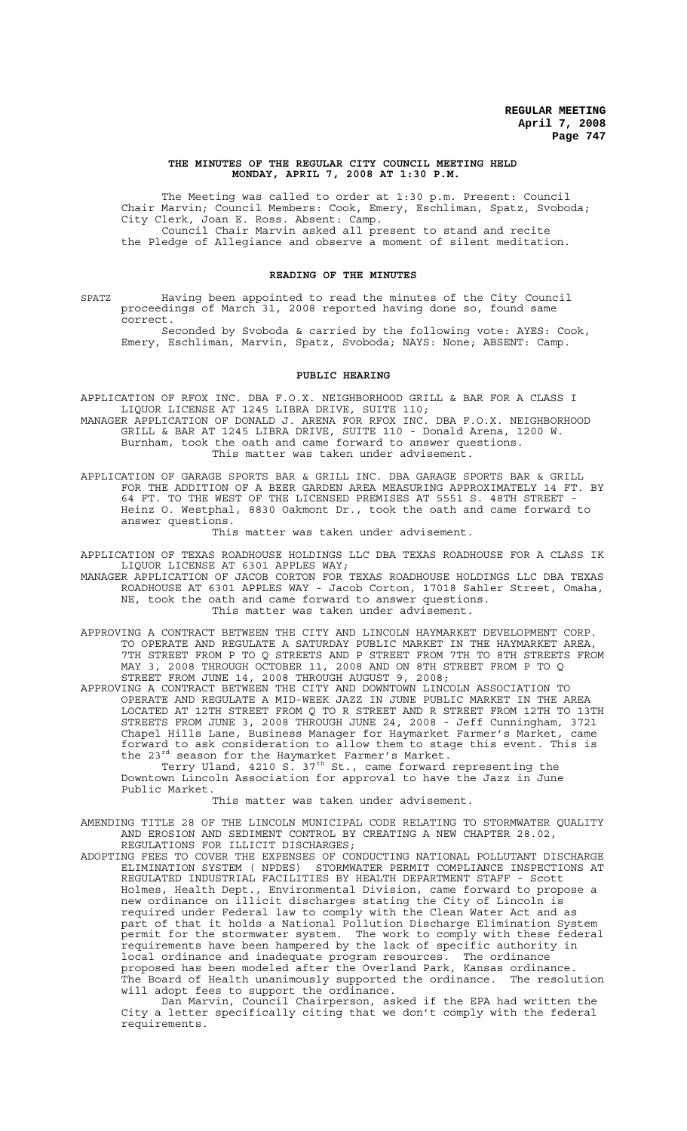#### **THE MINUTES OF THE REGULAR CITY COUNCIL MEETING HELD MONDAY, APRIL 7, 2008 AT 1:30 P.M.**

The Meeting was called to order at 1:30 p.m. Present: Council Chair Marvin; Council Members: Cook, Emery, Eschliman, Spatz, Svoboda; City Clerk, Joan E. Ross. Absent: Camp. Council Chair Marvin asked all present to stand and recite the Pledge of Allegiance and observe a moment of silent meditation.

#### **READING OF THE MINUTES**

SPATZ Having been appointed to read the minutes of the City Council proceedings of March 31, 2008 reported having done so, found same correct.

Seconded by Svoboda & carried by the following vote: AYES: Cook, Emery, Eschliman, Marvin, Spatz, Svoboda; NAYS: None; ABSENT: Camp.

#### **PUBLIC HEARING**

APPLICATION OF RFOX INC. DBA F.O.X. NEIGHBORHOOD GRILL & BAR FOR A CLASS I LIQUOR LICENSE AT 1245 LIBRA DRIVE, SUITE 110; MANAGER APPLICATION OF DONALD J. ARENA FOR RFOX INC. DBA F.O.X. NEIGHBORHOOD

 GRILL & BAR AT 1245 LIBRA DRIVE, SUITE 110 - Donald Arena, 1200 W. Burnham, took the oath and came forward to answer questions. This matter was taken under advisement.

APPLICATION OF GARAGE SPORTS BAR & GRILL INC. DBA GARAGE SPORTS BAR & GRILL FOR THE ADDITION OF A BEER GARDEN AREA MEASURING APPROXIMATELY 14 FT. BY 64 FT. TO THE WEST OF THE LICENSED PREMISES AT 5551 S. 48TH STREET - Heinz O. Westphal, 8830 Oakmont Dr., took the oath and came forward to answer questions.

This matter was taken under advisement.

APPLICATION OF TEXAS ROADHOUSE HOLDINGS LLC DBA TEXAS ROADHOUSE FOR A CLASS IK LIQUOR LICENSE AT 6301 APPLES WAY;

MANAGER APPLICATION OF JACOB CORTON FOR TEXAS ROADHOUSE HOLDINGS LLC DBA TEXAS ROADHOUSE AT 6301 APPLES WAY - Jacob Corton, 17018 Sahler Street, Omaha, NE, took the oath and came forward to answer questions. This matter was taken under advisement.

APPROVING A CONTRACT BETWEEN THE CITY AND LINCOLN HAYMARKET DEVELOPMENT CORP. TO OPERATE AND REGULATE A SATURDAY PUBLIC MARKET IN THE HAYMARKET AREA, 7TH STREET FROM P TO Q STREETS AND P STREET FROM 7TH TO 8TH STREETS FROM MAY 3, 2008 THROUGH OCTOBER 11, 2008 AND ON 8TH STREET FROM P TO Q STREET FROM JUNE 14, 2008 THROUGH AUGUST 9, 2008;

APPROVING A CONTRACT BETWEEN THE CITY AND DOWNTOWN LINCOLN ASSOCIATION TO OPERATE AND REGULATE A MID-WEEK JAZZ IN JUNE PUBLIC MARKET IN THE AREA LOCATED AT 12TH STREET FROM Q TO R STREET AND R STREET FROM 12TH TO 13TH STREETS FROM JUNE 3, 2008 THROUGH JUNE 24, 2008 - Jeff Cunningham, 3721 Chapel Hills Lane, Business Manager for Haymarket Farmer's Market, came forward to ask consideration to allow them to stage this event. This is the 23<sup>rd</sup> season for the Haymarket Farmer's Market.

Terry Uland, 4210 S. 37<sup>th</sup> St., came forward representing the Downtown Lincoln Association for approval to have the Jazz in June Public Market.

#### This matter was taken under advisement.

AMENDING TITLE 28 OF THE LINCOLN MUNICIPAL CODE RELATING TO STORMWATER QUALITY AND EROSION AND SEDIMENT CONTROL BY CREATING A NEW CHAPTER 28.02, REGULATIONS FOR ILLICIT DISCHARGES;

ADOPTING FEES TO COVER THE EXPENSES OF CONDUCTING NATIONAL POLLUTANT DISCHARGE ENGINERITY ON THE ELIMINATION SYSTEM ( NPDES) STORMWATER PERMIT COMPLIANCE INSPECTIONS AT STORMWATER PERMIT COMPLIANCE INSPECTIONS AT REGULATED INDUSTRIAL FACILITIES BY HEALTH DEPARTMENT STAFF - Scott Holmes, Health Dept., Environmental Division, came forward to propose a new ordinance on illicit discharges stating the City of Lincoln is required under Federal law to comply with the Clean Water Act and as part of that it holds a National Pollution Discharge Elimination System permit for the stormwater system. The work to comply with these federal requirements have been hampered by the lack of specific authority in local ordinance and inadequate program resources. The ordinance proposed has been modeled after the Overland Park, Kansas ordinance. The Board of Health unanimously supported the ordinance. The resolution will adopt fees to support the ordinance.

Dan Marvin, Council Chairperson, asked if the EPA had written the City a letter specifically citing that we don't comply with the federal requirements.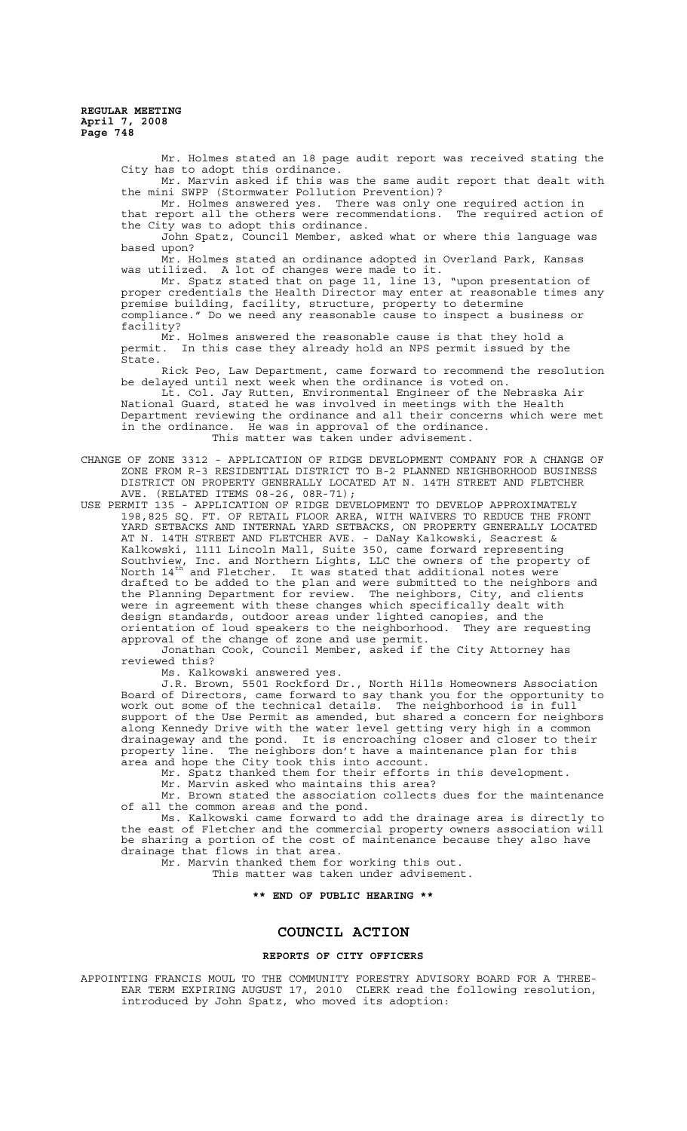> Mr. Holmes stated an 18 page audit report was received stating the City has to adopt this ordinance. Mr. Marvin asked if this was the same audit report that dealt with the mini SWPP (Stormwater Pollution Prevention)? Mr. Holmes answered yes. There was only one required action in

> that report all the others were recommendations. The required action of the City was to adopt this ordinance.

John Spatz, Council Member, asked what or where this language was based upon?

Mr. Holmes stated an ordinance adopted in Overland Park, Kansas was utilized. A lot of changes were made to it.

Mr. Spatz stated that on page 11, line 13, "upon presentation of proper credentials the Health Director may enter at reasonable times any premise building, facility, structure, property to determine compliance." Do we need any reasonable cause to inspect a business or facility?

Mr. Holmes answered the reasonable cause is that they hold a permit. In this case they already hold an NPS permit issued by the permit.<br>State.

Rick Peo, Law Department, came forward to recommend the resolution be delayed until next week when the ordinance is voted on.

Lt. Col. Jay Rutten, Environmental Engineer of the Nebraska Air National Guard, stated he was involved in meetings with the Health Department reviewing the ordinance and all their concerns which were met in the ordinance. He was in approval of the ordinance. This matter was taken under advisement.

CHANGE OF ZONE 3312 - APPLICATION OF RIDGE DEVELOPMENT COMPANY FOR A CHANGE OF ZONE FROM R-3 RESIDENTIAL DISTRICT TO B-2 PLANNED NEIGHBORHOOD BUSINESS DISTRICT ON PROPERTY GENERALLY LOCATED AT N. 14TH STREET AND FLETCHER AVE. (RELATED ITEMS 08-26, 08R-71);

USE PERMIT 135 - APPLICATION OF RIDGE DEVELOPMENT TO DEVELOP APPROXIMATELY 198,825 SQ. FT. OF RETAIL FLOOR AREA, WITH WAIVERS TO REDUCE THE FRONT YARD SETBACKS AND INTERNAL YARD SETBACKS, ON PROPERTY GENERALLY LOCATED AT N. 14TH STREET AND FLETCHER AVE. - DaNay Kalkowski, Seacrest & Kalkowski, 1111 Lincoln Mall, Suite 350, came forward representing Southview, Inc. and Northern Lights, LLC the owners of the property of North  $14^{th'}$  and Fletcher. It was stated that additional notes were drafted to be added to the plan and were submitted to the neighbors and the Planning Department for review. The neighbors, City, and clients were in agreement with these changes which specifically dealt with design standards, outdoor areas under lighted canopies, and the orientation of loud speakers to the neighborhood. They are requesting orientation of loud speakers to the neighborhood.<br>approval of the change of zone and use permit.

Jonathan Cook, Council Member, asked if the City Attorney has reviewed this?

Ms. Kalkowski answered yes.

J.R. Brown, 5501 Rockford Dr., North Hills Homeowners Association Board of Directors, came forward to say thank you for the opportunity to work out some of the technical details. The neighborhood is in full support of the Use Permit as amended, but shared a concern for neighbors along Kennedy Drive with the water level getting very high in a common drainageway and the pond. It is encroaching closer and closer to their property line. The neighbors don't have a maintenance plan for this area and hope the City took this into account.

Mr. Spatz thanked them for their efforts in this development.

Mr. Marvin asked who maintains this area?

Mr. Brown stated the association collects dues for the maintenance of all the common areas and the pond.

Ms. Kalkowski came forward to add the drainage area is directly to the east of Fletcher and the commercial property owners association will be sharing a portion of the cost of maintenance because they also have drainage that flows in that area.

Mr. Marvin thanked them for working this out.

This matter was taken under advisement.

# **\*\* END OF PUBLIC HEARING \*\***

# **COUNCIL ACTION**

#### **REPORTS OF CITY OFFICERS**

APPOINTING FRANCIS MOUL TO THE COMMUNITY FORESTRY ADVISORY BOARD FOR A THREE-EAR TERM EXPIRING AUGUST 17, 2010 CLERK read the following resolution, introduced by John Spatz, who moved its adoption: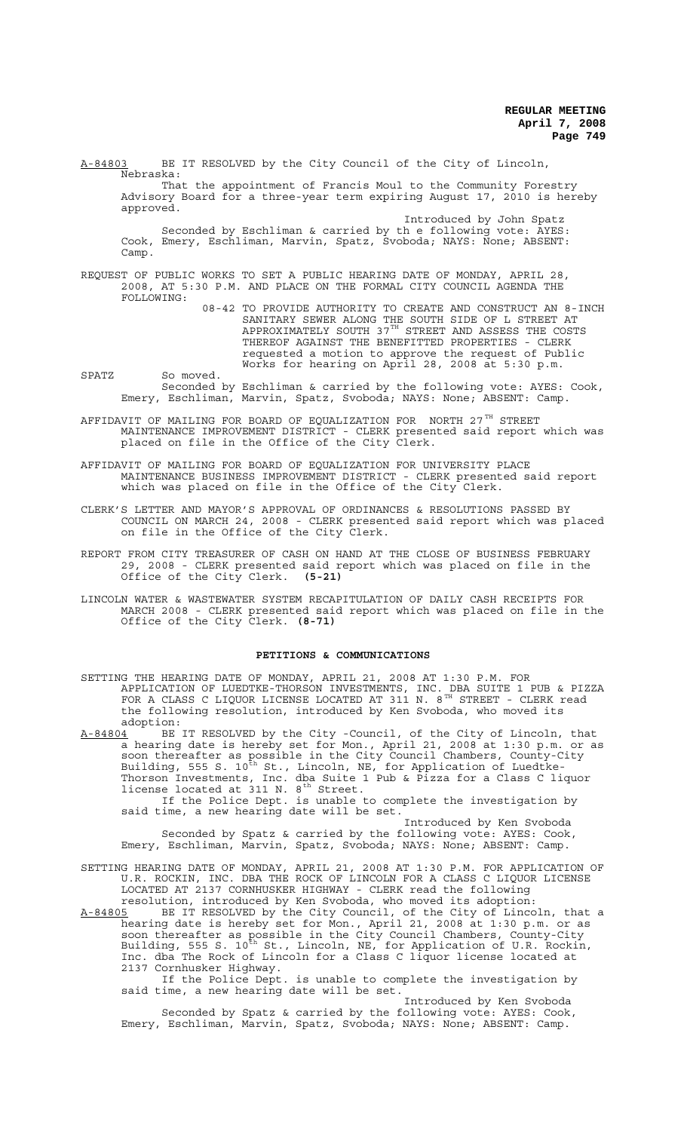A-84803 BE IT RESOLVED by the City Council of the City of Lincoln, Nebraska: That the appointment of Francis Moul to the Community Forestry Advisory Board for a three-year term expiring August 17, 2010 is hereby approved. Introduced by John Spatz (1999) and the Spatz (1999) introduced by John Spatz Seconded by Eschliman & carried by th e following vote: AYES: Cook, Emery, Eschliman, Marvin, Spatz, Svoboda; NAYS: None; ABSENT:

REQUEST OF PUBLIC WORKS TO SET A PUBLIC HEARING DATE OF MONDAY, APRIL 28, 2008, AT 5:30 P.M. AND PLACE ON THE FORMAL CITY COUNCIL AGENDA THE FOLLOWING:

Camp.

08-42 TO PROVIDE AUTHORITY TO CREATE AND CONSTRUCT AN 8-INCH SANITARY SEWER ALONG THE SOUTH SIDE OF L STREET AT APPROXIMATELY SOUTH 37 $^{\text{\tiny{TH}}}$  STREET AND ASSESS THE COSTS THEREOF AGAINST THE BENEFITTED PROPERTIES - CLERK requested a motion to approve the request of Public Works for hearing on April 28, 2008 at 5:30 p.m.

- SPATZ So moved. Seconded by Eschliman & carried by the following vote: AYES: Cook, Emery, Eschliman, Marvin, Spatz, Svoboda; NAYS: None; ABSENT: Camp.
- AFFIDAVIT OF MAILING FOR BOARD OF EQUALIZATION FOR NORTH 27 $^{TH}$  STREET MAINTENANCE IMPROVEMENT DISTRICT - CLERK presented said report which was placed on file in the Office of the City Clerk.

AFFIDAVIT OF MAILING FOR BOARD OF EQUALIZATION FOR UNIVERSITY PLACE MAINTENANCE BUSINESS IMPROVEMENT DISTRICT - CLERK presented said report which was placed on file in the Office of the City Clerk.

- CLERK'S LETTER AND MAYOR'S APPROVAL OF ORDINANCES & RESOLUTIONS PASSED BY COUNCIL ON MARCH 24, 2008 - CLERK presented said report which was placed on file in the Office of the City Clerk.
- REPORT FROM CITY TREASURER OF CASH ON HAND AT THE CLOSE OF BUSINESS FEBRUARY 29, 2008 - CLERK presented said report which was placed on file in the Office of the City Clerk. **(5-21)**
- LINCOLN WATER & WASTEWATER SYSTEM RECAPITULATION OF DAILY CASH RECEIPTS FOR MARCH 2008 - CLERK presented said report which was placed on file in the Office of the City Clerk. **(8-71)**

#### **PETITIONS & COMMUNICATIONS**

SETTING THE HEARING DATE OF MONDAY, APRIL 21, 2008 AT 1:30 P.M. FOR APPLICATION OF LUEDTKE-THORSON INVESTMENTS, INC. DBA SUITE 1 PUB & PIZZA FOR A CLASS C LIQUOR LICENSE LOCATED AT 311 N.  $8^{TH}$  STREET - CLERK read the following resolution, introduced by Ken Svoboda, who moved its

adoption:<br>A-84804 BE  $A-84804$  BE IT RESOLVED by the City -Council, of the City of Lincoln, that a hearing date is hereby set for Mon., April 21, 2008 at 1:30 p.m. or as soon thereafter as possible in the City Council Chambers, County-City Building, 555 S. 10<sup>th</sup> St., Lincoln, NE, for Application of Luedtke-Thorson Investments, Inc. dba Suite 1 Pub & Pizza for a Class C liquor license located at  $311$  N.  $8^{th}$  Street. If the Police Dept. is unable to complete the investigation by

said time, a new hearing date will be set. Introduced by Ken Svoboda

Seconded by Spatz & carried by the following vote: AYES: Cook, Emery, Eschliman, Marvin, Spatz, Svoboda; NAYS: None; ABSENT: Camp.

- SETTING HEARING DATE OF MONDAY, APRIL 21, 2008 AT 1:30 P.M. FOR APPLICATION OF U.R. ROCKIN, INC. DBA THE ROCK OF LINCOLN FOR A CLASS C LIQUOR LICENSE LOCATED AT 2137 CORNHUSKER HIGHWAY - CLERK read the following resolution, introduced by Ken Svoboda, who moved its adoption:
- A-84805 BE IT RESOLVED by the City Council, of the City of Lincoln, that a hearing date is hereby set for Mon., April 21, 2008 at 1:30 p.m. or as soon thereafter as possible in the City Council Chambers, County-City Building, 555 S. 10<sup>th</sup> St., Lincoln, NE, for Application of U.R. Rockin, Inc. dba The Rock of Lincoln for a Class C liquor license located at 2137 Cornhusker Highway.

If the Police Dept. is unable to complete the investigation by said time, a new hearing date will be set.

Introduced by Ken Svoboda Seconded by Spatz & carried by the following vote: AYES: Cook, Emery, Eschliman, Marvin, Spatz, Svoboda; NAYS: None; ABSENT: Camp.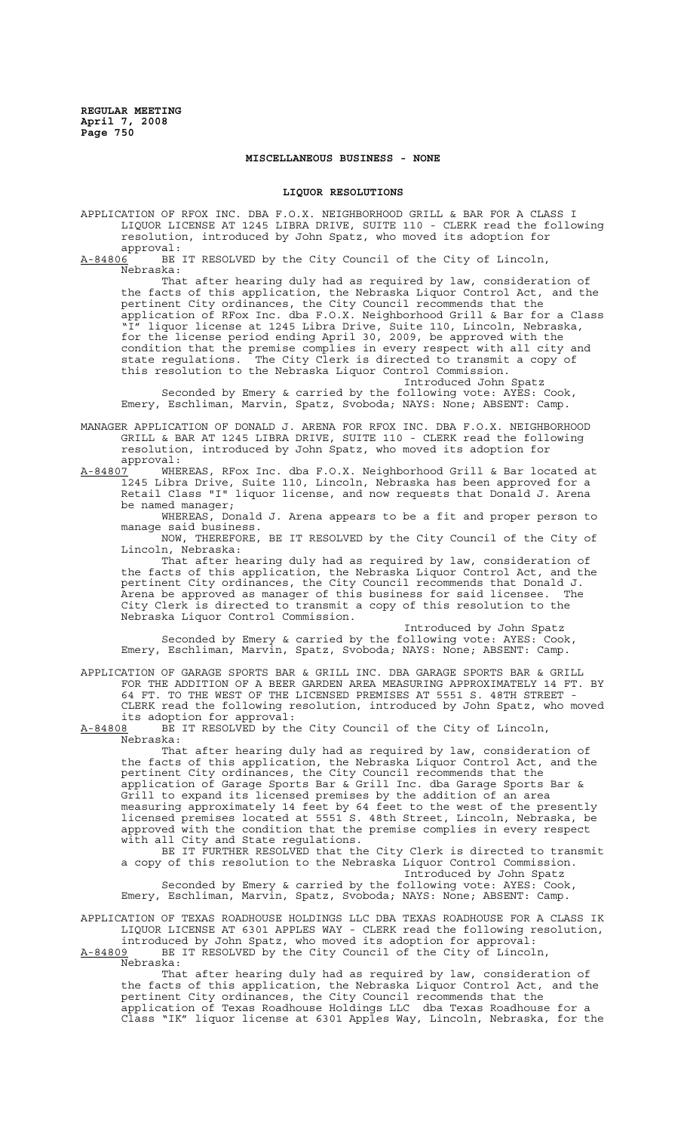## **MISCELLANEOUS BUSINESS - NONE**

### **LIQUOR RESOLUTIONS**

APPLICATION OF RFOX INC. DBA F.O.X. NEIGHBORHOOD GRILL & BAR FOR A CLASS I LIQUOR LICENSE AT 1245 LIBRA DRIVE, SUITE 110 - CLERK read the following resolution, introduced by John Spatz, who moved its adoption for

approval:<br><u>A-84806</u> BE BE IT RESOLVED by the City Council of the City of Lincoln, Nebraska:

That after hearing duly had as required by law, consideration of the facts of this application, the Nebraska Liquor Control Act, and the pertinent City ordinances, the City Council recommends that the application of RFox Inc. dba F.O.X. Neighborhood Grill & Bar for a Class "I" liquor license at 1245 Libra Drive, Suite 110, Lincoln, Nebraska, for the license period ending April 30, 2009, be approved with the condition that the premise complies in every respect with all city and state regulations. The City Clerk is directed to transmit a copy of this resolution to the Nebraska Liquor Control Commission.

Introduced John Spatz

Seconded by Emery & carried by the following vote: AYES: Cook, Emery, Eschliman, Marvin, Spatz, Svoboda; NAYS: None; ABSENT: Camp.

MANAGER APPLICATION OF DONALD J. ARENA FOR RFOX INC. DBA F.O.X. NEIGHBORHOOD GRILL & BAR AT 1245 LIBRA DRIVE, SUITE 110 - CLERK read the following resolution, introduced by John Spatz, who moved its adoption for approval:<br><u>A-84807</u> WHE

WHEREAS, RFox Inc. dba F.O.X. Neighborhood Grill & Bar located at 1245 Libra Drive, Suite 110, Lincoln, Nebraska has been approved for a Retail Class "I" liquor license, and now requests that Donald J. Arena be named manager;

WHEREAS, Donald J. Arena appears to be a fit and proper person to manage said business.

NOW, THEREFORE, BE IT RESOLVED by the City Council of the City of Lincoln, Nebraska:

That after hearing duly had as required by law, consideration of the facts of this application, the Nebraska Liquor Control Act, and the pertinent City ordinances, the City Council recommends that Donald J. Arena be approved as manager of this business for said licensee. The City Clerk is directed to transmit a copy of this resolution to the Nebraska Liquor Control Commission.

Introduced by John Spatz Seconded by Emery & carried by the following vote: AYES: Cook, Emery, Eschliman, Marvin, Spatz, Svoboda; NAYS: None; ABSENT: Camp.

APPLICATION OF GARAGE SPORTS BAR & GRILL INC. DBA GARAGE SPORTS BAR & GRILL FOR THE ADDITION OF A BEER GARDEN AREA MEASURING APPROXIMATELY 14 FT. BY 64 FT. TO THE WEST OF THE LICENSED PREMISES AT 5551 S. 48TH STREET - CLERK read the following resolution, introduced by John Spatz, who moved its adoption for approval:<br>A-84808 BE IT RESOLVED by th

BE IT RESOLVED by the City Council of the City of Lincoln, Nebraska:

That after hearing duly had as required by law, consideration of the facts of this application, the Nebraska Liquor Control Act, and the pertinent City ordinances, the City Council recommends that the application of Garage Sports Bar & Grill Inc. dba Garage Sports Bar & Grill to expand its licensed premises by the addition of an area measuring approximately 14 feet by 64 feet to the west of the presently licensed premises located at 5551 S. 48th Street, Lincoln, Nebraska, be approved with the condition that the premise complies in every respect with all City and State regulations.

BE IT FURTHER RESOLVED that the City Clerk is directed to transmit a copy of this resolution to the Nebraska Liquor Control Commission. Introduced by John Spatz

Seconded by Emery & carried by the following vote: AYES: Cook, Emery, Eschliman, Marvin, Spatz, Svoboda; NAYS: None; ABSENT: Camp.

APPLICATION OF TEXAS ROADHOUSE HOLDINGS LLC DBA TEXAS ROADHOUSE FOR A CLASS IK LIQUOR LICENSE AT 6301 APPLES WAY - CLERK read the following resolution, introduced by John Spatz, who moved its adoption for approval:

A-84809 BE IT RESOLVED by the City Council of the City of Lincoln,  $A-84809$  BE<br>Nebraska:

That after hearing duly had as required by law, consideration of the facts of this application, the Nebraska Liquor Control Act, and the pertinent City ordinances, the City Council recommends that the application of Texas Roadhouse Holdings LLC dba Texas Roadhouse for a Class "IK" liquor license at 6301 Apples Way, Lincoln, Nebraska, for the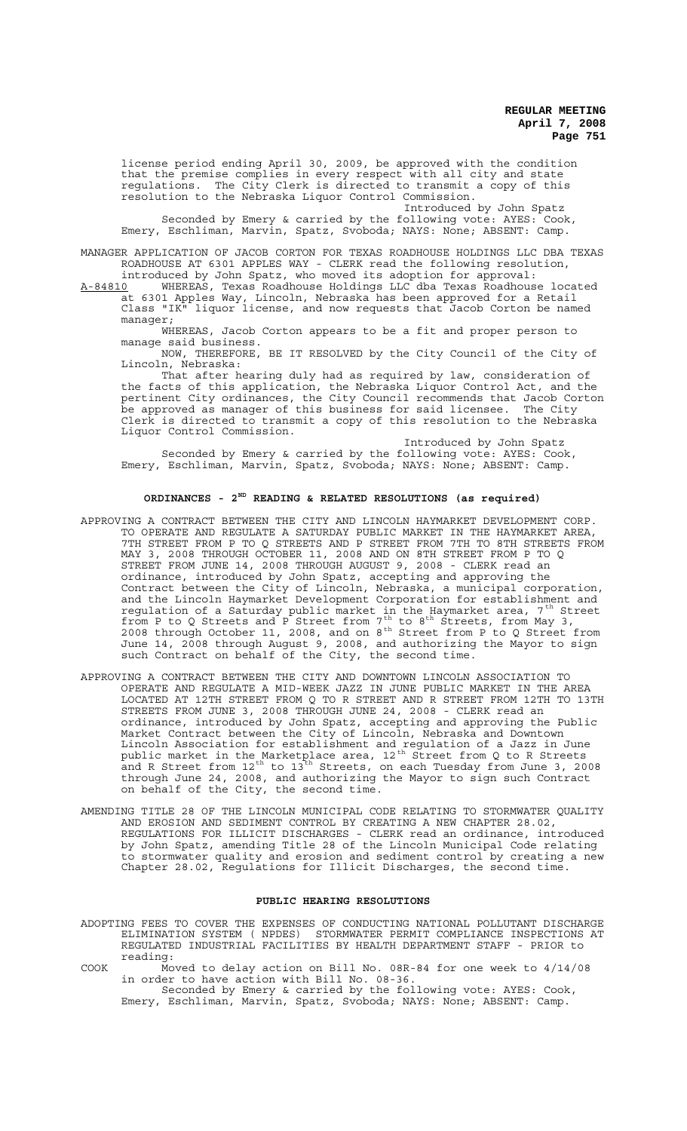license period ending April 30, 2009, be approved with the condition that the premise complies in every respect with all city and state regulations. The City Clerk is directed to transmit a copy of this resolution to the Nebraska Liquor Control Commission.

Introduced by John Spatz

Seconded by Emery & carried by the following vote: AYES: Cook, Emery, Eschliman, Marvin, Spatz, Svoboda; NAYS: None; ABSENT: Camp.

MANAGER APPLICATION OF JACOB CORTON FOR TEXAS ROADHOUSE HOLDINGS LLC DBA TEXAS ROADHOUSE AT 6301 APPLES WAY - CLERK read the following resolution, introduced by John Spatz, who moved its adoption for approval:

A-84810 WHEREAS, Texas Roadhouse Holdings LLC dba Texas Roadhouse located at 6301 Apples Way, Lincoln, Nebraska has been approved for a Retail Class "IK" liquor license, and now requests that Jacob Corton be named manager;

WHEREAS, Jacob Corton appears to be a fit and proper person to manage said business.

NOW, THEREFORE, BE IT RESOLVED by the City Council of the City of Lincoln, Nebraska:

That after hearing duly had as required by law, consideration of the facts of this application, the Nebraska Liquor Control Act, and the pertinent City ordinances, the City Council recommends that Jacob Corton be approved as manager of this business for said licensee. The City Clerk is directed to transmit a copy of this resolution to the Nebraska Liquor Control Commission.

Introduced by John Spatz Seconded by Emery & carried by the following vote: AYES: Cook, Emery, Eschliman, Marvin, Spatz, Svoboda; NAYS: None; ABSENT: Camp.

## **ORDINANCES - 2ND READING & RELATED RESOLUTIONS (as required)**

- APPROVING A CONTRACT BETWEEN THE CITY AND LINCOLN HAYMARKET DEVELOPMENT CORP. TO OPERATE AND REGULATE A SATURDAY PUBLIC MARKET IN THE HAYMARKET AREA, 7TH STREET FROM P TO Q STREETS AND P STREET FROM 7TH TO 8TH STREETS FROM MAY 3, 2008 THROUGH OCTOBER 11, 2008 AND ON 8TH STREET FROM P TO Q STREET FROM JUNE 14, 2008 THROUGH AUGUST 9, 2008 - CLERK read an ordinance, introduced by John Spatz, accepting and approving the Contract between the City of Lincoln, Nebraska, a municipal corporation, and the Lincoln Haymarket Development Corporation for establishment and regulation of a Saturday public market in the Haymarket area, 7<sup>th</sup> Street from P to Q Streets and P Street from  $7^{th}$  to  $8^{th}$  Streets, from May 3, 2008 through October 11, 2008, and on  $8^{th}$  Street from P to Q Street from June 14, 2008 through August 9, 2008, and authorizing the Mayor to sign such Contract on behalf of the City, the second time.
- APPROVING A CONTRACT BETWEEN THE CITY AND DOWNTOWN LINCOLN ASSOCIATION TO OPERATE AND REGULATE A MID-WEEK JAZZ IN JUNE PUBLIC MARKET IN THE AREA LOCATED AT 12TH STREET FROM Q TO R STREET AND R STREET FROM 12TH TO 13TH STREETS FROM JUNE 3, 2008 THROUGH JUNE 24, 2008 - CLERK read an ordinance, introduced by John Spatz, accepting and approving the Public Market Contract between the City of Lincoln, Nebraska and Downtown Lincoln Association for establishment and regulation of a Jazz in June public market in the Marketplace area,  $12^{\text{th}}$  Street from Q to R Streets and R Street from  $12^{\text{th}}$  to  $13^{\text{th}}$  Streets, on each Tuesday from June 3, 2008 through June 24, 2008, and authorizing the Mayor to sign such Contract on behalf of the City, the second time.
- AMENDING TITLE 28 OF THE LINCOLN MUNICIPAL CODE RELATING TO STORMWATER QUALITY AND EROSION AND SEDIMENT CONTROL BY CREATING A NEW CHAPTER 28.02, REGULATIONS FOR ILLICIT DISCHARGES - CLERK read an ordinance, introduced by John Spatz, amending Title 28 of the Lincoln Municipal Code relating to stormwater quality and erosion and sediment control by creating a new Chapter 28.02, Regulations for Illicit Discharges, the second time.

#### **PUBLIC HEARING RESOLUTIONS**

- ADOPTING FEES TO COVER THE EXPENSES OF CONDUCTING NATIONAL POLLUTANT DISCHARGE ELIMINATION SYSTEM ( NPDES) STORMWATER PERMIT COMPLIANCE INSPECTIONS AT REGULATED INDUSTRIAL FACILITIES BY HEALTH DEPARTMENT STAFF - PRIOR to reading:
- COOK Moved to delay action on Bill No. 08R-84 for one week to 4/14/08 in order to have action with Bill No. 08-36.

Seconded by Emery & carried by the following vote: AYES: Cook, Emery, Eschliman, Marvin, Spatz, Svoboda; NAYS: None; ABSENT: Camp.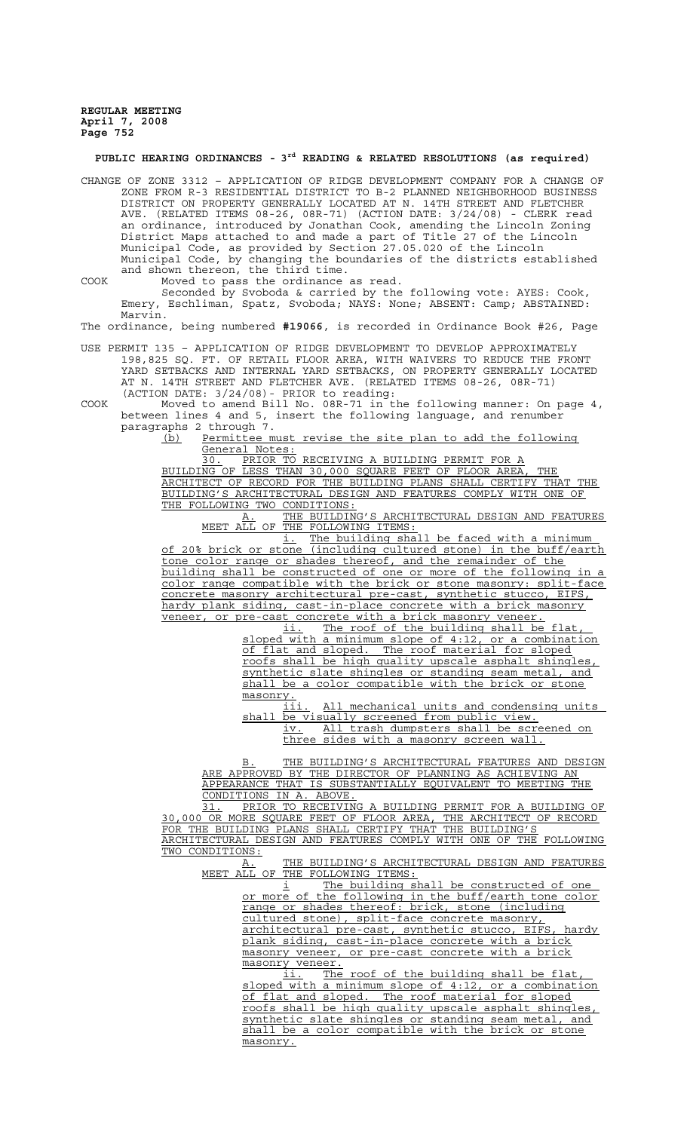## **PUBLIC HEARING ORDINANCES - 3rd READING & RELATED RESOLUTIONS (as required)**

CHANGE OF ZONE 3312 – APPLICATION OF RIDGE DEVELOPMENT COMPANY FOR A CHANGE OF ZONE FROM R-3 RESIDENTIAL DISTRICT TO B-2 PLANNED NEIGHBORHOOD BUSINESS DISTRICT ON PROPERTY GENERALLY LOCATED AT N. 14TH STREET AND FLETCHER AVE. (RELATED ITEMS 08-26, 08R-71) (ACTION DATE: 3/24/08) - CLERK read an ordinance, introduced by Jonathan Cook, amending the Lincoln Zoning District Maps attached to and made a part of Title 27 of the Lincoln Municipal Code, as provided by Section 27.05.020 of the Lincoln Municipal Code, by changing the boundaries of the districts established and shown thereon, the third time.

COOK Moved to pass the ordinance as read. Seconded by Svoboda & carried by the following vote: AYES: Cook, Emery, Eschliman, Spatz, Svoboda; NAYS: None; ABSENT: Camp; ABSTAINED: Marvin.

The ordinance, being numbered **#19066**, is recorded in Ordinance Book #26, Page

USE PERMIT 135 – APPLICATION OF RIDGE DEVELOPMENT TO DEVELOP APPROXIMATELY 198,825 SQ. FT. OF RETAIL FLOOR AREA, WITH WAIVERS TO REDUCE THE FRONT YARD SETBACKS AND INTERNAL YARD SETBACKS, ON PROPERTY GENERALLY LOCATED AT N. 14TH STREET AND FLETCHER AVE. (RELATED ITEMS 08-26, 08R-71) (ACTION DATE: 3/24/08)- PRIOR to reading:

COOK Moved to amend Bill No. 08R-71 in the following manner: On page 4, between lines 4 and 5, insert the following language, and renumber paragraphs 2 through 7.

(b) Permittee must revise the site plan to add the following General Notes:

30. PRIOR TO RECEIVING A BUILDING PERMIT FOR A BUILDING OF LESS THAN 30,000 SQUARE FEET OF FLOOR AREA, THE ARCHITECT OF RECORD FOR THE BUILDING PLANS SHALL CERTIFY THAT THE BUILDING'S ARCHITECTURAL DESIGN AND FEATURES COMPLY WITH ONE OF

THE FOLLOWING TWO CONDITIONS:<br>A. THE BUILDIN THE BUILDING'S ARCHITECTURAL DESIGN AND FEATURES MEET ALL OF THE FOLLOWING ITEMS:

i. The building shall be faced with a minimum of 20% brick or stone (including cultured stone) in the buff/earth tone color range or shades thereof, and the remainder of the building shall be constructed of one or more of the following in a color range compatible with the brick or stone masonry: split-face concrete masonry architectural pre-cast, synthetic stucco, EIFS, hardy plank siding, cast-in-place concrete with a brick masonry veneer, or pre-cast concrete with a brick masonry veneer.

ii. The roof of the building shall be flat sloped with a minimum slope of 4:12, or a combination of flat and sloped. The roof material for sloped roofs shall be high quality upscale asphalt shingles, synthetic slate shingles or standing seam metal, and shall be a color compatible with the brick or stone masonry.<br>iii

All mechanical units and condensing units shall be visually screened from public view. iv. All trash dumpsters shall be screened on

three sides with a masonry screen wall.

B. THE BUILDING'S ARCHITECTURAL FEATURES AND DESIGN ARE APPROVED BY THE DIRECTOR OF PLANNING AS ACHIEVING AN APPEARANCE THAT IS SUBSTANTIALLY EQUIVALENT TO MEETING THE CONDITIONS IN A. ABOVE.

31. PRIOR TO RECEIVING A BUILDING PERMIT FOR A BUILDING OF 30,000 OR MORE SQUARE FEET OF FLOOR AREA, THE ARCHITECT OF RECORD FOR THE BUILDING PLANS SHALL CERTIFY THAT THE BUILDING'S ARCHITECTURAL DESIGN AND FEATURES COMPLY WITH ONE OF THE FOLLOWING TWO CONDITIONS:

A. THE BUILDING'S ARCHITECTURAL DESIGN AND FEATURES MEET ALL OF THE FOLLOWING ITEMS:

i The building shall be constructed of one or more of the following in the buff/earth tone color range or shades thereof: brick, stone (including cultured stone), split-face concrete masonry, architectural pre-cast, synthetic stucco, EIFS, hardy plank siding, cast-in-place concrete with a brick masonry veneer, or pre-cast concrete with a brick masonry veneer.

ii. The roof of the building shall be flat, sloped with a minimum slope of 4:12, or a combination of flat and sloped. The roof material for sloped roofs shall be high quality upscale asphalt shingles, synthetic slate shingles or standing seam metal, and shall be a color compatible with the brick or stone masonry.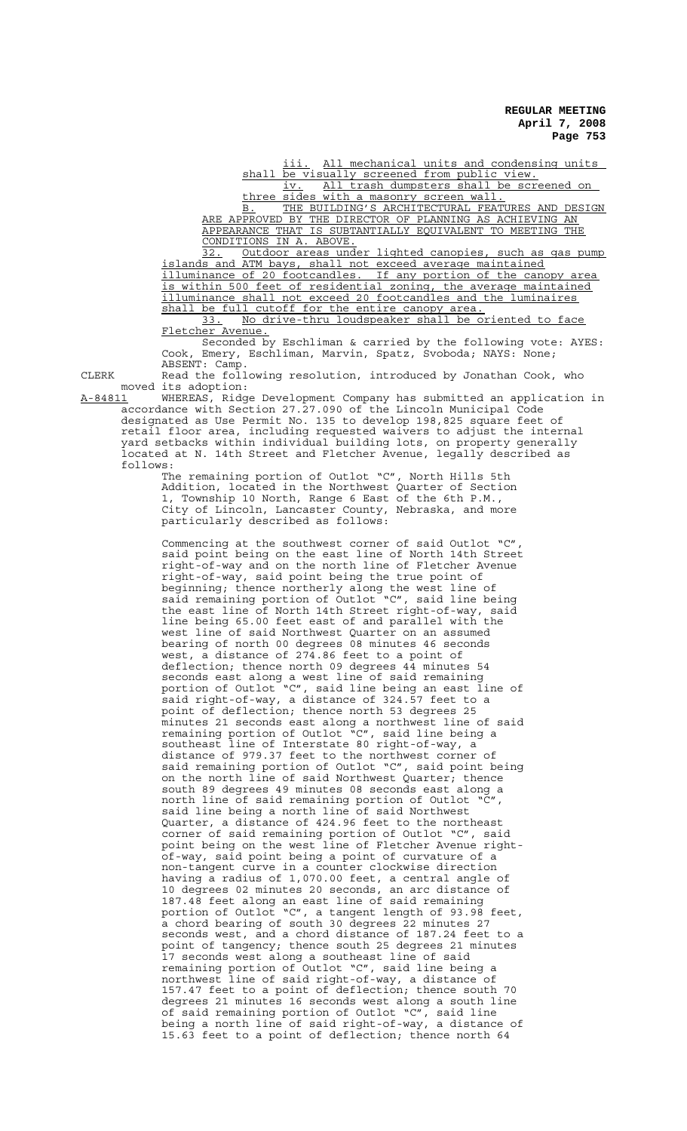iii. All mechanical units and condensing units shall be visually screened from public view.

iv. All trash dumpsters shall be screened on three sides with a masonry screen wall.

B. THE BUILDING'S ARCHITECTURAL FEATURES AND DESIGN ARE APPROVED BY THE DIRECTOR OF PLANNING AS ACHIEVING AN APPEARANCE THAT IS SUBTANTIALLY EQUIVALENT TO MEETING CONDITIONS IN A. ABOVE.

32. Outdoor areas under lighted canopies, such as gas pump islands and ATM bays, shall not exceed average maintained illuminance of 20 footcandles. If any portion of the canopy area is within 500 feet of residential zoning, the average maintained illuminance shall not exceed 20 footcandles and the luminaires shall be full cutoff for the entire canopy area. 33. No drive-thru loudspeaker shall be oriented to face

Fletcher Avenue.

Seconded by Eschliman & carried by the following vote: AYES: Cook, Emery, Eschliman, Marvin, Spatz, Svoboda; NAYS: None; ABSENT: Camp.

CLERK Read the following resolution, introduced by Jonathan Cook, who moved its adoption:

A-84811 WHEREAS, Ridge Development Company has submitted an application in accordance with Section 27.27.090 of the Lincoln Municipal Code designated as Use Permit No. 135 to develop 198,825 square feet of retail floor area, including requested waivers to adjust the internal yard setbacks within individual building lots, on property generally located at N. 14th Street and Fletcher Avenue, legally described as follows:

> The remaining portion of Outlot "C", North Hills 5th Addition, located in the Northwest Quarter of Section 1, Township 10 North, Range 6 East of the 6th P.M., City of Lincoln, Lancaster County, Nebraska, and more particularly described as follows:

Commencing at the southwest corner of said Outlot "C", said point being on the east line of North 14th Street right-of-way and on the north line of Fletcher Avenue right-of-way, said point being the true point of beginning; thence northerly along the west line of said remaining portion of Outlot "C", said line being the east line of North 14th Street right-of-way, said line being 65.00 feet east of and parallel with the west line of said Northwest Quarter on an assumed bearing of north 00 degrees 08 minutes 46 seconds west, a distance of 274.86 feet to a point of deflection; thence north 09 degrees 44 minutes 54 seconds east along a west line of said remaining portion of Outlot "C", said line being an east line of said right-of-way, a distance of 324.57 feet to a point of deflection; thence north 53 degrees 25 minutes 21 seconds east along a northwest line of said remaining portion of Outlot "C", said line being a southeast line of Interstate 80 right-of-way, a distance of 979.37 feet to the northwest corner of said remaining portion of Outlot "C", said point being on the north line of said Northwest Quarter; thence south 89 degrees 49 minutes 08 seconds east along a north line of said remaining portion of Outlot "C", said line being a north line of said Northwest Quarter, a distance of 424.96 feet to the northeast corner of said remaining portion of Outlot "C", said point being on the west line of Fletcher Avenue rightof-way, said point being a point of curvature of a non-tangent curve in a counter clockwise direction having a radius of 1,070.00 feet, a central angle of 10 degrees 02 minutes 20 seconds, an arc distance of 187.48 feet along an east line of said remaining portion of Outlot "C", a tangent length of 93.98 feet, a chord bearing of south 30 degrees 22 minutes 27 seconds west, and a chord distance of 187.24 feet to a point of tangency; thence south 25 degrees 21 minutes 17 seconds west along a southeast line of said remaining portion of Outlot "C", said line being a northwest line of said right-of-way, a distance of 157.47 feet to a point of deflection; thence south 70 degrees 21 minutes 16 seconds west along a south line of said remaining portion of Outlot "C", said line being a north line of said right-of-way, a distance of 15.63 feet to a point of deflection; thence north 64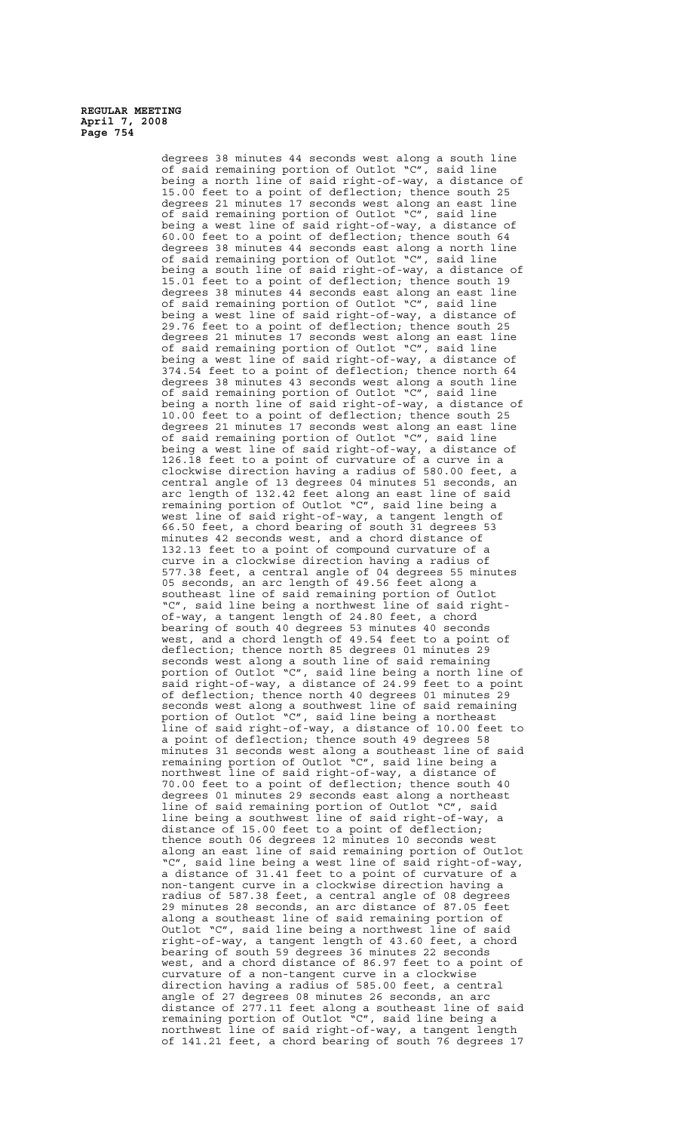> degrees 38 minutes 44 seconds west along a south line of said remaining portion of Outlot "C", said line being a north line of said right-of-way, a distance of 15.00 feet to a point of deflection; thence south 25 degrees 21 minutes 17 seconds west along an east line of said remaining portion of Outlot "C", said line being a west line of said right-of-way, a distance of 60.00 feet to a point of deflection; thence south 64 degrees 38 minutes 44 seconds east along a north line of said remaining portion of Outlot "C", said line being a south line of said right-of-way, a distance of 15.01 feet to a point of deflection; thence south 19 degrees 38 minutes 44 seconds east along an east line of said remaining portion of Outlot "C", said line being a west line of said right-of-way, a distance of 29.76 feet to a point of deflection; thence south 25 degrees 21 minutes 17 seconds west along an east line of said remaining portion of Outlot "C", said line being a west line of said right-of-way, a distance of 374.54 feet to a point of deflection; thence north 64 degrees 38 minutes 43 seconds west along a south line degrees so minutes to second were diving a statuted<br>of said remaining portion of Outlot "C", said lines" being a north line of said right-of-way, a distance of 10.00 feet to a point of deflection; thence south 25 degrees 21 minutes 17 seconds west along an east line of said remaining portion of Outlot "C", said line being a west line of said right-of-way, a distance of 126.18 feet to a point of curvature of a curve in a clockwise direction having a radius of 580.00 feet, a central angle of 13 degrees 04 minutes 51 seconds, an arc length of 132.42 feet along an east line of said remaining portion of Outlot "C", said line being a west line of said right-of-way, a tangent length of 66.50 feet, a chord bearing of south 31 degrees 53 minutes 42 seconds west, and a chord distance of 132.13 feet to a point of compound curvature of a curve in a clockwise direction having a radius of 577.38 feet, a central angle of 04 degrees 55 minutes 05 seconds, an arc length of 49.56 feet along a southeast line of said remaining portion of Outlot "C", said line being a northwest line of said rightof-way, a tangent length of 24.80 feet, a chord bearing of south 40 degrees 53 minutes 40 seconds west, and a chord length of 49.54 feet to a point of deflection; thence north 85 degrees 01 minutes 29 seconds west along a south line of said remaining portion of Outlot "C", said line being a north line of said right-of-way, a distance of 24.99 feet to a point of deflection; thence north 40 degrees 01 minutes 29 seconds west along a southwest line of said remaining portion of Outlot "C", said line being a northeast line of said right-of-way, a distance of 10.00 feet to a point of deflection; thence south 49 degrees 58 minutes 31 seconds west along a southeast line of said remaining portion of Outlot "C", said line being a northwest line of said right-of-way, a distance of 70.00 feet to a point of deflection; thence south 40 degrees 01 minutes 29 seconds east along a northeast line of said remaining portion of Outlot "C", said line being a southwest line of said right-of-way, a distance of 15.00 feet to a point of deflection; thence south 06 degrees 12 minutes 10 seconds west along an east line of said remaining portion of Outlot "C", said line being a west line of said right-of-way, a distance of 31.41 feet to a point of curvature of a non-tangent curve in a clockwise direction having a radius of 587.38 feet, a central angle of 08 degrees 29 minutes 28 seconds, an arc distance of 87.05 feet along a southeast line of said remaining portion of Outlot "C", said line being a northwest line of said right-of-way, a tangent length of 43.60 feet, a chord bearing of south 59 degrees 36 minutes 22 seconds west, and a chord distance of 86.97 feet to a point of curvature of a non-tangent curve in a clockwise direction having a radius of 585.00 feet, a central angle of 27 degrees 08 minutes 26 seconds, an arc distance of 277.11 feet along a southeast line of said remaining portion of Outlot "C", said line being a northwest line of said right-of-way, a tangent length of 141.21 feet, a chord bearing of south 76 degrees 17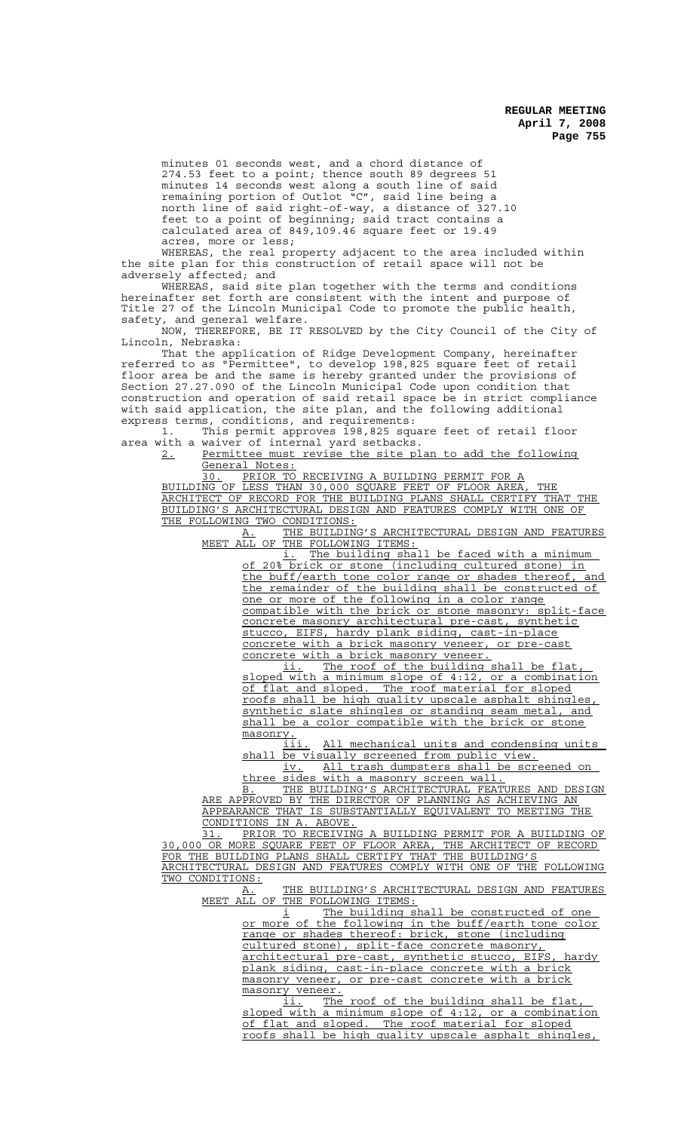minutes 01 seconds west, and a chord distance of 274.53 feet to a point; thence south 89 degrees 51 minutes 14 seconds west along a south line of said remaining portion of Outlot "C", said line being a north line of said right-of-way, a distance of 327.10 feet to a point of beginning; said tract contains a calculated area of 849,109.46 square feet or 19.49 acres, more or less;

WHEREAS, the real property adjacent to the area included within the site plan for this construction of retail space will not be adversely affected; and

WHEREAS, said site plan together with the terms and conditions hereinafter set forth are consistent with the intent and purpose of Title 27 of the Lincoln Municipal Code to promote the public health, safety, and general welfare.

NOW, THEREFORE, BE IT RESOLVED by the City Council of the City of Lincoln, Nebraska:

That the application of Ridge Development Company, hereinafter referred to as "Permittee", to develop 198,825 square feet of retail floor area be and the same is hereby granted under the provisions of Section 27.27.090 of the Lincoln Municipal Code upon condition that construction and operation of said retail space be in strict compliance with said application, the site plan, and the following additional express terms, conditions, and requirements:

1. This permit approves 198,825 square feet of retail floor area with a waiver of internal yard setbacks.

2. Permittee must revise the site plan to add the following General Notes:

30. PRIOR TO RECEIVING A BUILDING PERMIT FOR A BUILDING OF LESS THAN 30,000 SQUARE FEET OF FLOOR AREA, THE ARCHITECT OF RECORD FOR THE BUILDING PLANS SHALL CERTIFY THAT THE BUILDING'S ARCHITECTURAL DESIGN AND FEATURES COMPLY WITH ONE OF THE FOLLOWING TWO CONDITIONS:

A. THE BUILDING'S ARCHITECTURAL DESIGN AND FEATURES MEET ALL OF THE FOLLOWING ITEMS:

i. The building shall be faced with a minimum of 20% brick or stone (including cultured stone) the buff/earth tone color range or shades thereof, and the remainder of the building shall be constructed of one or more of the following in a color range compatible with the brick or stone masonry: split-face concrete masonry architectural pre-cast, synthetic stucco, EIFS, hardy plank siding, cast-in-place concrete with a brick masonry veneer, or pre-cast<br>concrete with a brick masonry veneer.

concrete with a brick masonry<br>ii. The roof of the bu The roof of the building shall be flat, sloped with a minimum slope of 4:12, or a combination of flat and sloped. The roof material for sloped roofs shall be high quality upscale asphalt shingles, synthetic slate shingles or standing seam metal, and shall be a color compatible with the brick or stone masonry.

iii. All mechanical units and condensing units shall be visually screened from public view.

iv. All trash dumpsters shall be screened on three sides with a masonry screen wall.

B. THE BUILDING'S ARCHITECTURAL FEATURES AND DESIGN ARE APPROVED BY THE DIRECTOR OF PLANNING AS ACHIEVING AN APPEARANCE THAT IS SUBSTANTIALLY EQUIVALENT TO MEETING THE CONDITIONS IN A. ABOVE.

31. PRIOR TO RECEIVING A BUILDING PERMIT FOR A BUILDING OF 30,000 OR MORE SQUARE FEET OF FLOOR AREA, THE ARCHITECT OF RECORD FOR THE BUILDING PLANS SHALL CERTIFY THAT THE BUILDING'S ARCHITECTURAL DESIGN AND FEATURES COMPLY WITH ONE OF THE FOLLOWING TWO CONDITIONS:

A. THE BUILDING'S ARCHITECTURAL DESIGN AND FEATURES MEET ALL OF THE FOLLOWING ITEMS:

i The building shall be constructed of one or more of the following in the buff/earth tone color range or shades thereof: brick, stone (including cultured stone), split-face concrete masonry, architectural pre-cast, synthetic stucco, EIFS, hardy

plank siding, cast-in-place concrete with a brick masonry veneer, or pre-cast concrete with a brick masonry veneer.<br>ii. The

The roof of the building shall be flat sloped with a minimum slope of 4:12, or a combination of flat and sloped. The roof material for sloped roofs shall be high quality upscale asphalt shingles,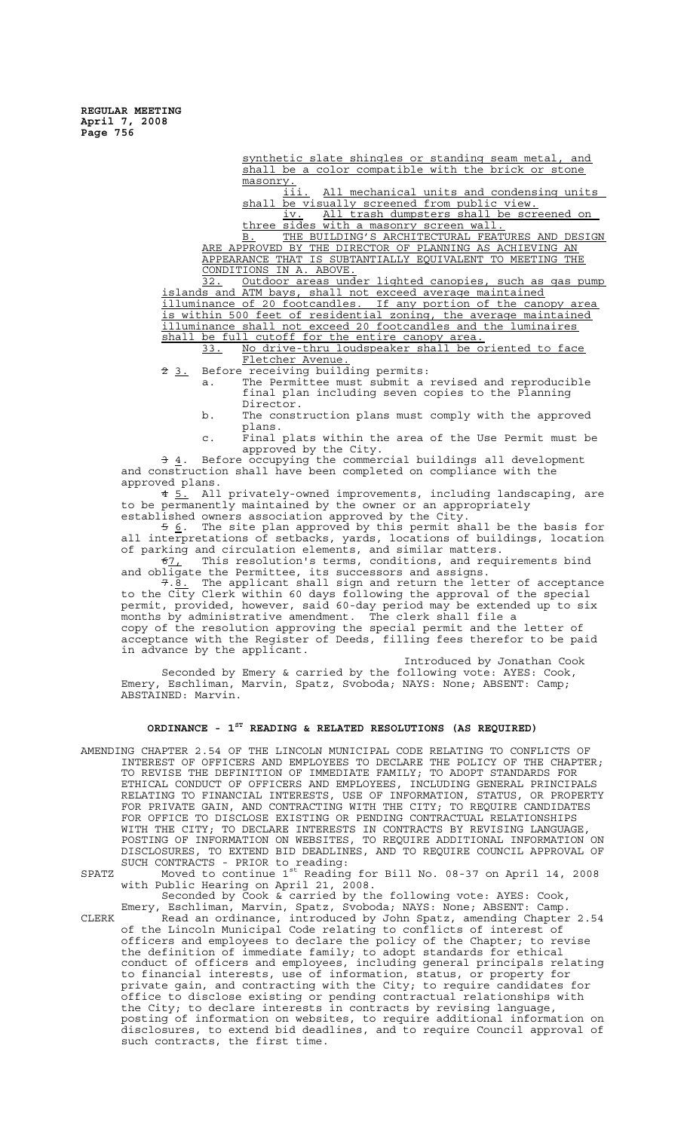> synthetic slate shingles or standing seam metal, and shall be a color compatible with the brick or stone masonry.<br>iii

All mechanical units and condensing units shall be visually screened from public view.<br>iv. All trash dumpsters shall be scre All trash dumpsters shall be screened on

three sides with a masonry screen wall. B. THE BUILDING'S ARCHITECTURAL FEATURES AND DESIGN ARE APPROVED BY THE DIRECTOR OF PLANNING AS ACHIEVING AN APPEARANCE THAT IS SUBTANTIALLY EQUIVALENT TO MEETING THE CONDITIONS IN A. ABOVE.

32. Outdoor areas under lighted canopies, such as gas pump islands and ATM bays, shall not exceed average maintained illuminance of 20 footcandles. If any portion of the canopy area is within 500 feet of residential zoning, the average maintained illuminance shall not exceed 20 footcandles and the luminaires

shall be full cutoff for the entire canopy area.<br>33. No drive-thru loudspeaker shall be o No drive-thru loudspeaker shall be oriented to face Fletcher Avenue.

2 3. Before receiving building permits:

a. The Permittee must submit a revised and reproducible final plan including seven copies to the Planning Director.

- b. The construction plans must comply with the approved plans.
- c. Final plats within the area of the Use Permit must be approved by the City.

 $\frac{1}{3}$  4. Before occupying the commercial buildings all development and construction shall have been completed on compliance with the approved plans.

4 5. All privately-owned improvements, including landscaping, are to be permanently maintained by the owner or an appropriately established owners association approved by the City.

5 6. The site plan approved by this permit shall be the basis for all interpretations of setbacks, yards, locations of buildings, location of parking and circulation elements, and similar matters.<br> $67_L$  This resolution's terms, conditions, and requ

This resolution's terms, conditions, and requirements bind and obligate the Permittee, its successors and assigns.

7.8. The applicant shall sign and return the letter of acceptance to the City Clerk within 60 days following the approval of the special permit, provided, however, said 60-day period may be extended up to six months by administrative amendment. The clerk shall file a copy of the resolution approving the special permit and the letter of acceptance with the Register of Deeds, filling fees therefor to be paid in advance by the applicant.

Introduced by Jonathan Cook Seconded by Emery & carried by the following vote: AYES: Cook, Emery, Eschliman, Marvin, Spatz, Svoboda; NAYS: None; ABSENT: Camp; ABSTAINED: Marvin.

### **ORDINANCE - 1ST READING & RELATED RESOLUTIONS (AS REQUIRED)**

AMENDING CHAPTER 2.54 OF THE LINCOLN MUNICIPAL CODE RELATING TO CONFLICTS OF INTEREST OF OFFICERS AND EMPLOYEES TO DECLARE THE POLICY OF THE CHAPTER; TO REVISE THE DEFINITION OF IMMEDIATE FAMILY; TO ADOPT STANDARDS FOR ETHICAL CONDUCT OF OFFICERS AND EMPLOYEES, INCLUDING GENERAL PRINCIPALS RELATING TO FINANCIAL INTERESTS, USE OF INFORMATION, STATUS, OR PROPERTY FOR PRIVATE GAIN, AND CONTRACTING WITH THE CITY; TO REQUIRE CANDIDATES FOR OFFICE TO DISCLOSE EXISTING OR PENDING CONTRACTUAL RELATIONSHIPS WITH THE CITY; TO DECLARE INTERESTS IN CONTRACTS BY REVISING LANGUAGE, POSTING OF INFORMATION ON WEBSITES, TO REQUIRE ADDITIONAL INFORMATION ON DISCLOSURES, TO EXTEND BID DEADLINES, AND TO REQUIRE COUNCIL APPROVAL OF SUCH CONTRACTS - PRIOR to reading:

SPATZ Moved to continue  $1^{st}$  Reading for Bill No. 08-37 on April 14, 2008 with Public Hearing on April 21, 2008.<br>Seconded by Cook & carried by the following vote: AYES: Cook,

Seconded by Cook & carried by the following vote: AYES: Cook, Emery, Eschliman, Marvin, Spatz, Svoboda; NAYS: None; ABSENT: Camp. CLERK Read an ordinance, introduced by John Spatz, amending Chapter 2.54 of the Lincoln Municipal Code relating to conflicts of interest of officers and employees to declare the policy of the Chapter; to revise the definition of immediate family; to adopt standards for ethical conduct of officers and employees, including general principals relating to financial interests, use of information, status, or property for private gain, and contracting with the City; to require candidates for office to disclose existing or pending contractual relationships with the City; to declare interests in contracts by revising language, posting of information on websites, to require additional information on disclosures, to extend bid deadlines, and to require Council approval of such contracts, the first time.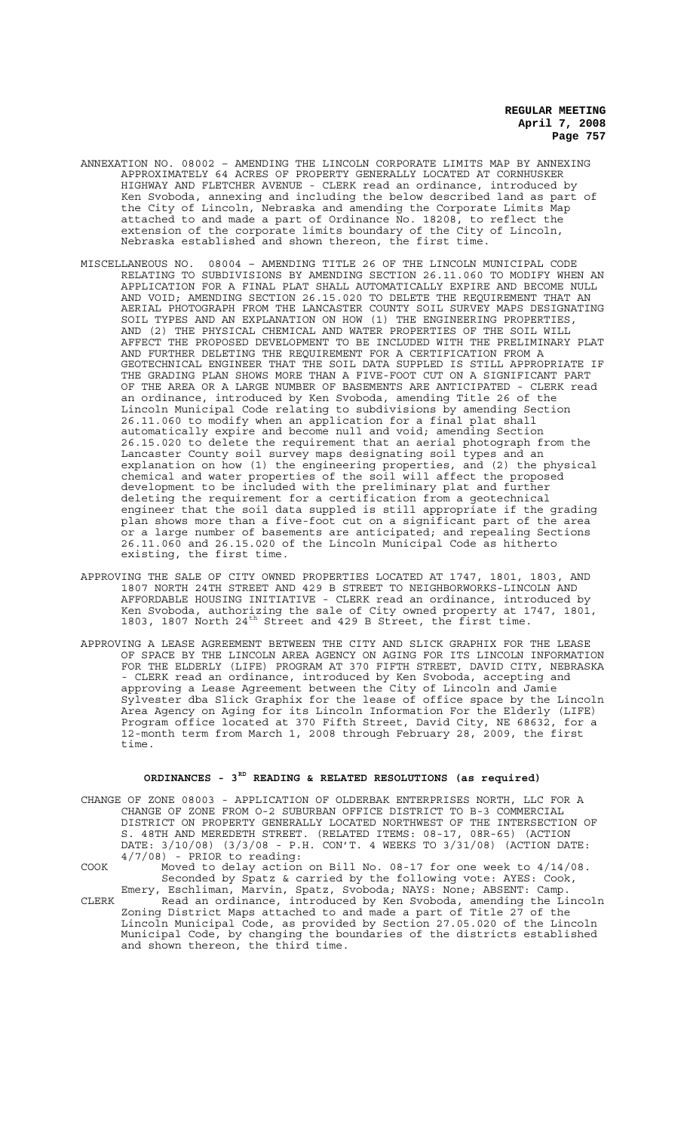- ANNEXATION NO. 08002 AMENDING THE LINCOLN CORPORATE LIMITS MAP BY ANNEXING APPROXIMATELY 64 ACRES OF PROPERTY GENERALLY LOCATED AT CORNHUSKER HIGHWAY AND FLETCHER AVENUE - CLERK read an ordinance, introduced by Ken Svoboda, annexing and including the below described land as part of the City of Lincoln, Nebraska and amending the Corporate Limits Map attached to and made a part of Ordinance No. 18208, to reflect the extension of the corporate limits boundary of the City of Lincoln, Nebraska established and shown thereon, the first time.
- MISCELLANEOUS NO. 08004 AMENDING TITLE 26 OF THE LINCOLN MUNICIPAL CODE RELATING TO SUBDIVISIONS BY AMENDING SECTION 26.11.060 TO MODIFY WHEN AN APPLICATION FOR A FINAL PLAT SHALL AUTOMATICALLY EXPIRE AND BECOME NULL AND VOID; AMENDING SECTION 26.15.020 TO DELETE THE REQUIREMENT THAT AN AERIAL PHOTOGRAPH FROM THE LANCASTER COUNTY SOIL SURVEY MAPS DESIGNATING SOIL TYPES AND AN EXPLANATION ON HOW (1) THE ENGINEERING PROPERTIES, AND (2) THE PHYSICAL CHEMICAL AND WATER PROPERTIES OF THE SOIL WILL AFFECT THE PROPOSED DEVELOPMENT TO BE INCLUDED WITH THE PRELIMINARY PLAT AND FURTHER DELETING THE REQUIREMENT FOR A CERTIFICATION FROM A GEOTECHNICAL ENGINEER THAT THE SOIL DATA SUPPLED IS STILL APPROPRIATE IF THE GRADING PLAN SHOWS MORE THAN A FIVE-FOOT CUT ON A SIGNIFICANT PART OF THE AREA OR A LARGE NUMBER OF BASEMENTS ARE ANTICIPATED - CLERK read an ordinance, introduced by Ken Svoboda, amending Title 26 of the Lincoln Municipal Code relating to subdivisions by amending Section 26.11.060 to modify when an application for a final plat shall automatically expire and become null and void; amending Section 26.15.020 to delete the requirement that an aerial photograph from the Lancaster County soil survey maps designating soil types and an explanation on how (1) the engineering properties, and (2) the physical chemical and water properties of the soil will affect the proposed development to be included with the preliminary plat and further deleting the requirement for a certification from a geotechnical engineer that the soil data suppled is still appropriate if the grading plan shows more than a five-foot cut on a significant part of the area or a large number of basements are anticipated; and repealing Sections 26.11.060 and 26.15.020 of the Lincoln Municipal Code as hitherto existing, the first time.
- APPROVING THE SALE OF CITY OWNED PROPERTIES LOCATED AT 1747, 1801, 1803, AND 1807 NORTH 24TH STREET AND 429 B STREET TO NEIGHBORWORKS-LINCOLN AND AFFORDABLE HOUSING INITIATIVE - CLERK read an ordinance, introduced by Ken Svoboda, authorizing the sale of City owned property at 1747, 1801, 1803, 1807 North 24<sup>th</sup> Street and 429 B Street, the first time.
- APPROVING A LEASE AGREEMENT BETWEEN THE CITY AND SLICK GRAPHIX FOR THE LEASE OF SPACE BY THE LINCOLN AREA AGENCY ON AGING FOR ITS LINCOLN INFORMATION FOR THE ELDERLY (LIFE) PROGRAM AT 370 FIFTH STREET, DAVID CITY, NEBRASKA - CLERK read an ordinance, introduced by Ken Svoboda, accepting and approving a Lease Agreement between the City of Lincoln and Jamie Sylvester dba Slick Graphix for the lease of office space by the Lincoln Area Agency on Aging for its Lincoln Information For the Elderly (LIFE) Program office located at 370 Fifth Street, David City, NE 68632, for a 12-month term from March 1, 2008 through February 28, 2009, the first time.

### **ORDINANCES - 3RD READING & RELATED RESOLUTIONS (as required)**

CHANGE OF ZONE 08003 - APPLICATION OF OLDERBAK ENTERPRISES NORTH, LLC FOR A CHANGE OF ZONE FROM O-2 SUBURBAN OFFICE DISTRICT TO B-3 COMMERCIAL DISTRICT ON PROPERTY GENERALLY LOCATED NORTHWEST OF THE INTERSECTION OF S. 48TH AND MEREDETH STREET. (RELATED ITEMS: 08-17, 08R-65) (ACTION DATE: 3/10/08) (3/3/08 - P.H. CON'T. 4 WEEKS TO 3/31/08) (ACTION DATE: 4/7/08) - PRIOR to reading:

COOK Moved to delay action on Bill No. 08-17 for one week to 4/14/08. Seconded by Spatz & carried by the following vote: AYES: Cook,

Emery, Eschliman, Marvin, Spatz, Svoboda; NAYS: None; ABSENT: Camp. CLERK Read an ordinance, introduced by Ken Svoboda, amending the Lincoln Zoning District Maps attached to and made a part of Title 27 of the Lincoln Municipal Code, as provided by Section 27.05.020 of the Lincoln Municipal Code, by changing the boundaries of the districts established and shown thereon, the third time.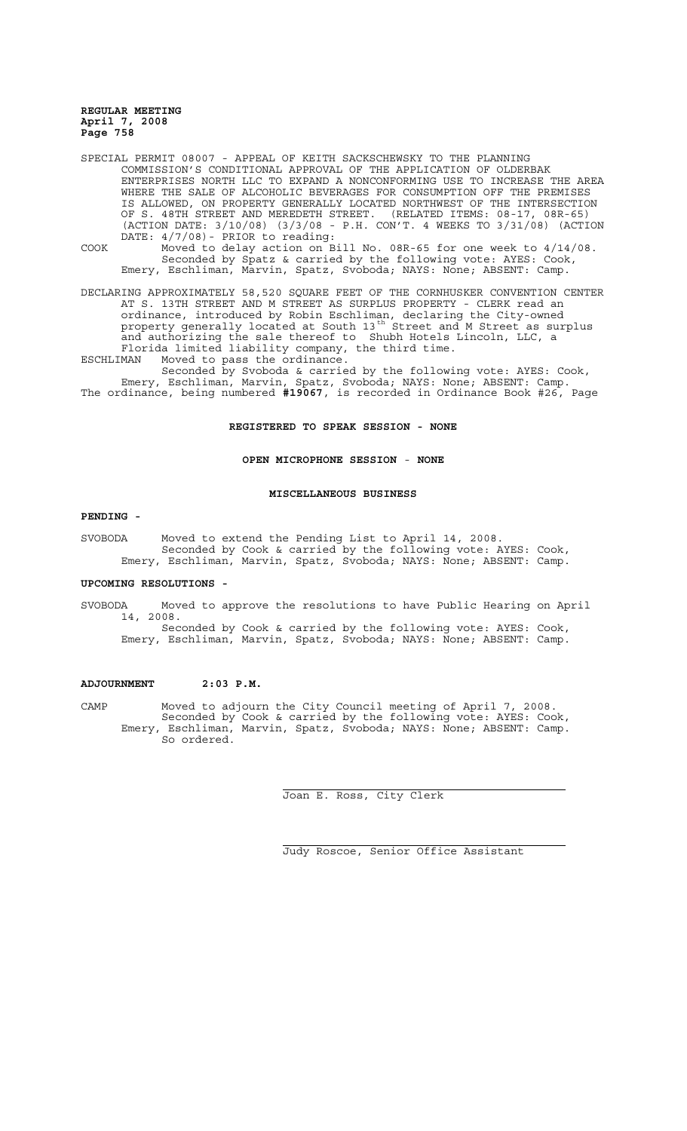SPECIAL PERMIT 08007 - APPEAL OF KEITH SACKSCHEWSKY TO THE PLANNING COMMISSION'S CONDITIONAL APPROVAL OF THE APPLICATION OF OLDERBAK ENTERPRISES NORTH LLC TO EXPAND A NONCONFORMING USE TO INCREASE THE AREA WHERE THE SALE OF ALCOHOLIC BEVERAGES FOR CONSUMPTION OFF THE PREMISES IS ALLOWED, ON PROPERTY GENERALLY LOCATED NORTHWEST OF THE INTERSECTION OF S. 48TH STREET AND MEREDETH STREET. (RELATED ITEMS: 08-17, 08R-65) (ACTION DATE: 3/10/08) (3/3/08 - P.H. CON'T. 4 WEEKS TO 3/31/08) (ACTION DATE: 4/7/08)- PRIOR to reading: COOK Moved to delay action on Bill No. 08R-65 for one week to 4/14/08. Seconded by Spatz & carried by the following vote: AYES: Cook, Emery, Eschliman, Marvin, Spatz, Svoboda; NAYS: None; ABSENT: Camp.

DECLARING APPROXIMATELY 58,520 SQUARE FEET OF THE CORNHUSKER CONVENTION CENTER AT S. 13TH STREET AND M STREET AS SURPLUS PROPERTY - CLERK read an ordinance, introduced by Robin Eschliman, declaring the City-owned property generally located at South 13<sup>th</sup> Street and M Street as surplus and authorizing the sale thereof to Shubh Hotels Lincoln, LLC, a Florida limited liability company, the third time. ESCHLIMAN Moved to pass the ordinance.

Seconded by Svoboda & carried by the following vote: AYES: Cook, Emery, Eschliman, Marvin, Spatz, Svoboda; NAYS: None; ABSENT: Camp. The ordinance, being numbered **#19067**, is recorded in Ordinance Book #26, Page

### **REGISTERED TO SPEAK SESSION - NONE**

#### **OPEN MICROPHONE SESSION** - **NONE**

#### **MISCELLANEOUS BUSINESS**

#### **PENDING -**

SVOBODA Moved to extend the Pending List to April 14, 2008. Seconded by Cook & carried by the following vote: AYES: Cook, Emery, Eschliman, Marvin, Spatz, Svoboda; NAYS: None; ABSENT: Camp.

#### **UPCOMING RESOLUTIONS -**

SVOBODA Moved to approve the resolutions to have Public Hearing on April 14, 2008. Seconded by Cook & carried by the following vote: AYES: Cook, Emery, Eschliman, Marvin, Spatz, Svoboda; NAYS: None; ABSENT: Camp.

#### **ADJOURNMENT 2:03 P.M.**

CAMP Moved to adjourn the City Council meeting of April 7, 2008. Seconded by Cook & carried by the following vote: AYES: Cook, Emery, Eschliman, Marvin, Spatz, Svoboda; NAYS: None; ABSENT: Camp. So ordered.

 $\overline{a}$ 

j.

Joan E. Ross, City Clerk

Judy Roscoe, Senior Office Assistant